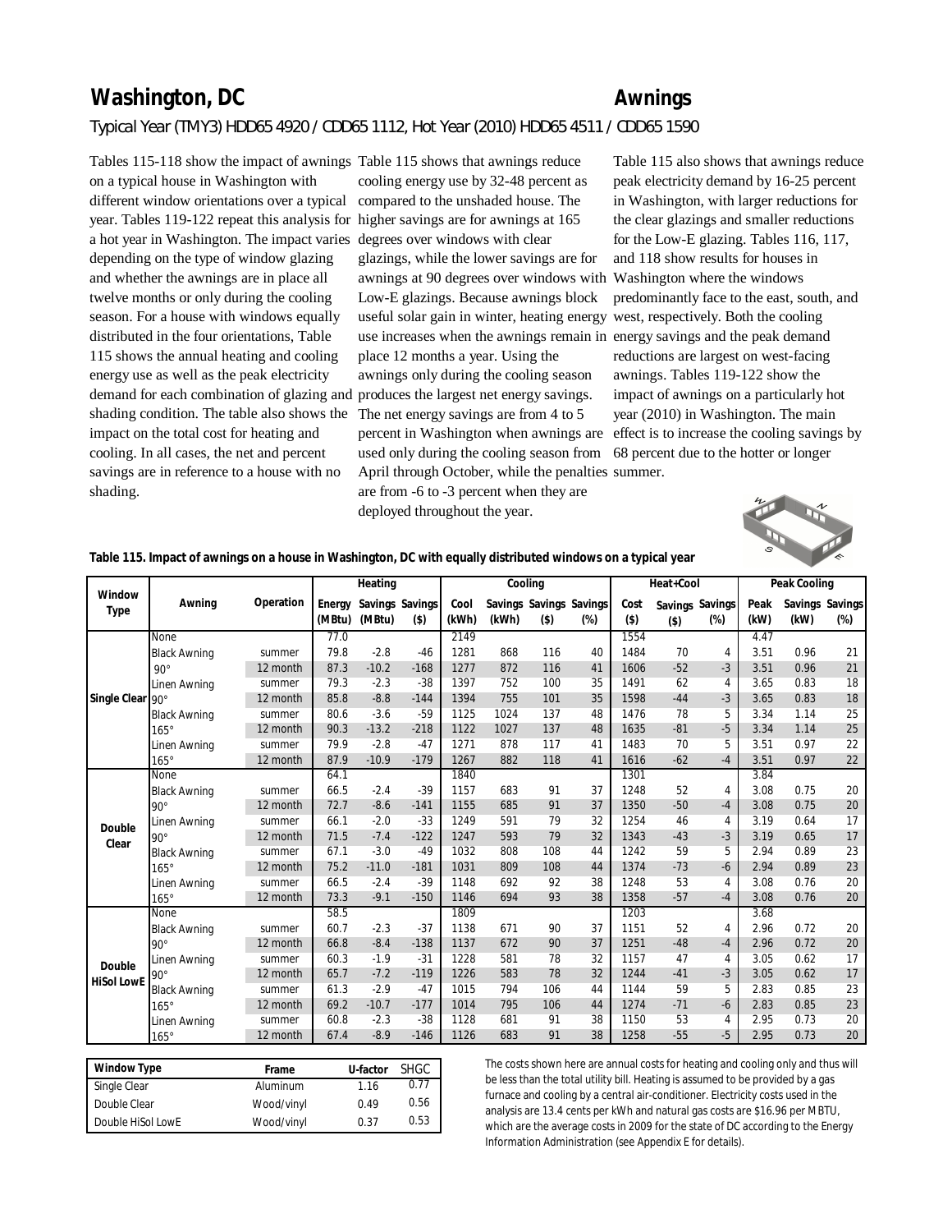## **Washington, DC Awnings** *Typical Year (TMY3) HDD65 4920 / CDD65 1112, Hot Year (2010) HDD65 4511 / CDD65 1590*

Tables 115-118 show the impact of awnings Table 115 shows that awnings reduce different window orientations over a typical compared to the unshaded house. The year. Tables 119-122 repeat this analysis for higher savings are for awnings at 165 a hot year in Washington. The impact varies degrees over windows with clear demand for each combination of glazing and produces the largest net energy savings. shading condition. The table also shows the The net energy savings are from 4 to 5 on a typical house in Washington with depending on the type of window glazing and whether the awnings are in place all twelve months or only during the cooling season. For a house with windows equally distributed in the four orientations, Table 115 shows the annual heating and cooling energy use as well as the peak electricity impact on the total cost for heating and cooling. In all cases, the net and percent savings are in reference to a house with no shading.

cooling energy use by 32-48 percent as glazings, while the lower savings are for awnings at 90 degrees over windows with Low-E glazings. Because awnings block useful solar gain in winter, heating energy west, respectively. Both the cooling use increases when the awnings remain in energy savings and the peak demand place 12 months a year. Using the awnings only during the cooling season used only during the cooling season from 68 percent due to the hotter or longer April through October, while the penalties summer. are from -6 to -3 percent when they are deployed throughout the year.

percent in Washington when awnings are effect is to increase the cooling savings by Table 115 also shows that awnings reduce peak electricity demand by 16-25 percent in Washington, with larger reductions for the clear glazings and smaller reductions for the Low-E glazing. Tables 116, 117, and 118 show results for houses in Washington where the windows predominantly face to the east, south, and reductions are largest on west-facing awnings. Tables 119-122 show the impact of awnings on a particularly hot year (2010) in Washington. The main



**Table 115. Impact of awnings on a house in Washington, DC with equally distributed windows on a typical year**

|                   |                     |           |        | Heating |                 |       | Cooling |         |                         |         | Heat+Cool |                 |      | Peak Cooling |                 |
|-------------------|---------------------|-----------|--------|---------|-----------------|-------|---------|---------|-------------------------|---------|-----------|-----------------|------|--------------|-----------------|
| Window            | Awning              | Operation | Energy |         | Savings Savings | Cool  |         |         | Savings Savings Savings | Cost    |           | Savings Savings | Peak |              | Savings Savings |
| Type              |                     |           | (MBtu) | (MBtu)  | $($ \$)         | (kWh) | (kWh)   | $($ \$) | (%)                     | $($ \$) | $($ \$)   | $(\%)$          | (kW) | (kW)         | (%)             |
|                   | <b>None</b>         |           | 77.0   |         |                 | 2149  |         |         |                         | 1554    |           |                 | 4.47 |              |                 |
|                   | <b>Black Awning</b> | summer    | 79.8   | $-2.8$  | $-46$           | 1281  | 868     | 116     | 40                      | 1484    | 70        | 4               | 3.51 | 0.96         | 21              |
|                   | $90^\circ$          | 12 month  | 87.3   | $-10.2$ | $-168$          | 1277  | 872     | 116     | 41                      | 1606    | $-52$     | $-3$            | 3.51 | 0.96         | 21              |
|                   | Linen Awning        | summer    | 79.3   | $-2.3$  | $-38$           | 1397  | 752     | 100     | 35                      | 1491    | 62        | 4               | 3.65 | 0.83         | 18              |
| Single Clear 90°  |                     | 12 month  | 85.8   | $-8.8$  | $-144$          | 1394  | 755     | 101     | 35                      | 1598    | $-44$     | $-3$            | 3.65 | 0.83         | 18              |
|                   | <b>Black Awning</b> | summer    | 80.6   | $-3.6$  | $-59$           | 1125  | 1024    | 137     | 48                      | 1476    | 78        | 5               | 3.34 | 1.14         | 25              |
|                   | $165^\circ$         | 12 month  | 90.3   | $-13.2$ | $-218$          | 1122  | 1027    | 137     | 48                      | 1635    | $-81$     | $-5$            | 3.34 | 1.14         | 25              |
|                   | Linen Awning        | summer    | 79.9   | $-2.8$  | $-47$           | 1271  | 878     | 117     | 41                      | 1483    | 70        | 5               | 3.51 | 0.97         | 22              |
|                   | $165^\circ$         | 12 month  | 87.9   | $-10.9$ | $-179$          | 1267  | 882     | 118     | 41                      | 1616    | $-62$     | $-4$            | 3.51 | 0.97         | 22              |
|                   | None                |           | 64.1   |         |                 | 1840  |         |         |                         | 1301    |           |                 | 3.84 |              |                 |
|                   | <b>Black Awning</b> | summer    | 66.5   | $-2.4$  | $-39$           | 1157  | 683     | 91      | 37                      | 1248    | 52        | 4               | 3.08 | 0.75         | 20              |
|                   | $90^\circ$          | 12 month  | 72.7   | $-8.6$  | $-141$          | 1155  | 685     | 91      | 37                      | 1350    | $-50$     | $-4$            | 3.08 | 0.75         | 20              |
| Double            | Linen Awning        | summer    | 66.1   | $-2.0$  | $-33$           | 1249  | 591     | 79      | 32                      | 1254    | 46        | 4               | 3.19 | 0.64         | 17              |
| Clear             | $90^\circ$          | 12 month  | 71.5   | $-7.4$  | $-122$          | 1247  | 593     | 79      | 32                      | 1343    | $-43$     | $-3$            | 3.19 | 0.65         | 17              |
|                   | <b>Black Awning</b> | summer    | 67.1   | $-3.0$  | $-49$           | 1032  | 808     | 108     | 44                      | 1242    | 59        | 5               | 2.94 | 0.89         | 23              |
|                   | $165^\circ$         | 12 month  | 75.2   | $-11.0$ | $-181$          | 1031  | 809     | 108     | 44                      | 1374    | $-73$     | $-6$            | 2.94 | 0.89         | 23              |
|                   | Linen Awning        | summer    | 66.5   | $-2.4$  | $-39$           | 1148  | 692     | 92      | 38                      | 1248    | 53        | 4               | 3.08 | 0.76         | 20              |
|                   | $165^\circ$         | 12 month  | 73.3   | $-9.1$  | $-150$          | 1146  | 694     | 93      | 38                      | 1358    | $-57$     | $-4$            | 3.08 | 0.76         | 20              |
|                   | None                |           | 58.5   |         |                 | 1809  |         |         |                         | 1203    |           |                 | 3.68 |              |                 |
|                   | <b>Black Awning</b> | summer    | 60.7   | $-2.3$  | $-37$           | 1138  | 671     | 90      | 37                      | 1151    | 52        | 4               | 2.96 | 0.72         | 20              |
|                   | $90^\circ$          | 12 month  | 66.8   | $-8.4$  | $-138$          | 1137  | 672     | 90      | 37                      | 1251    | $-48$     | $-4$            | 2.96 | 0.72         | 20              |
| Double            | Linen Awning        | summer    | 60.3   | $-1.9$  | $-31$           | 1228  | 581     | 78      | 32                      | 1157    | 47        | 4               | 3.05 | 0.62         | 17              |
| <b>HiSol LowE</b> | $90^\circ$          | 12 month  | 65.7   | $-7.2$  | $-119$          | 1226  | 583     | 78      | 32                      | 1244    | $-41$     | $-3$            | 3.05 | 0.62         | 17              |
|                   | <b>Black Awning</b> | summer    | 61.3   | $-2.9$  | $-47$           | 1015  | 794     | 106     | 44                      | 1144    | 59        | 5               | 2.83 | 0.85         | 23              |
|                   | $165^\circ$         | 12 month  | 69.2   | $-10.7$ | $-177$          | 1014  | 795     | 106     | 44                      | 1274    | $-71$     | $-6$            | 2.83 | 0.85         | 23              |
|                   | Linen Awning        | summer    | 60.8   | $-2.3$  | $-38$           | 1128  | 681     | 91      | 38                      | 1150    | 53        | 4               | 2.95 | 0.73         | 20              |
|                   | $165^\circ$         | 12 month  | 67.4   | $-8.9$  | $-146$          | 1126  | 683     | 91      | 38                      | 1258    | $-55$     | $-5$            | 2.95 | 0.73         | 20              |

| Window Type       | Frame      | U-factor | <b>SHGC</b> |
|-------------------|------------|----------|-------------|
| Single Clear      | Aluminum   | 1.16     | 0.77        |
| Double Clear      | Wood/vinyl | 0.49     | 0.56        |
| Double HiSol LowE | Wood/vinyl | 0.37     | 0.53        |

The costs shown here are annual costs for heating and cooling only and thus will be less than the total utility bill. Heating is assumed to be provided by a gas furnace and cooling by a central air-conditioner. Electricity costs used in the analysis are 13.4 cents per kWh and natural gas costs are \$16.96 per MBTU, which are the average costs in 2009 for the state of DC according to the Energy Information Administration (see Appendix E for details).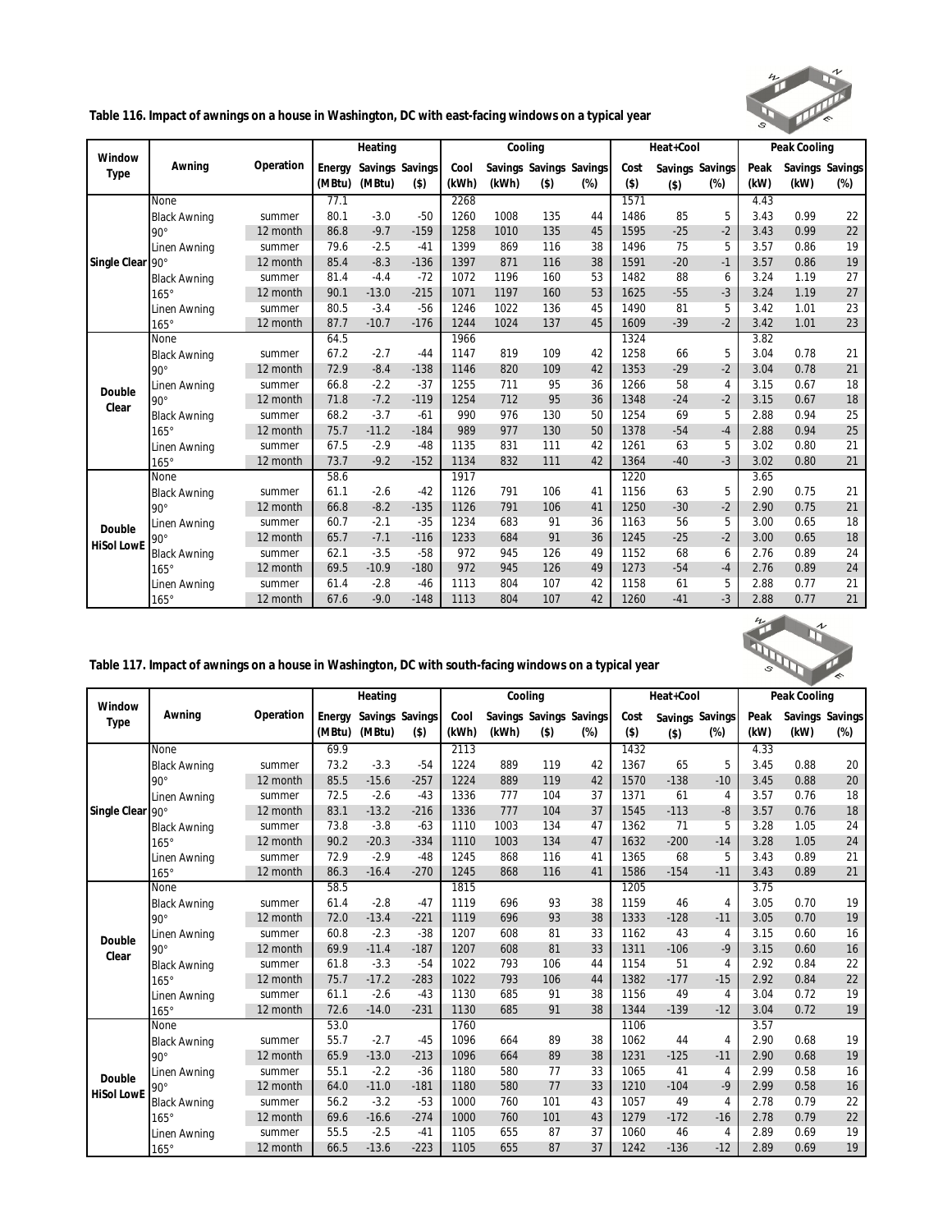

**Table 116. Impact of awnings on a house in Washington, DC with east-facing windows on a typical year**

| Window            |                     |           |        | Heating         |         |       | Cooling |         |                         |         | Heat+Cool |                 |      | Peak Cooling |                 |
|-------------------|---------------------|-----------|--------|-----------------|---------|-------|---------|---------|-------------------------|---------|-----------|-----------------|------|--------------|-----------------|
| Type              | Awning              | Operation | Energy | Savings Savings |         | Cool  |         |         | Savings Savings Savings | Cost    |           | Savings Savings | Peak |              | Savings Savings |
|                   |                     |           | (MBtu) | (MBtu)          | $($ \$) | (kWh) | (kWh)   | $($ \$) | $(\%)$                  | $($ \$) | $($ \$)   | $(\%)$          | (kW) | (kW)         | $(\%)$          |
|                   | None                |           | 77.1   |                 |         | 2268  |         |         |                         | 1571    |           |                 | 4.43 |              |                 |
|                   | <b>Black Awning</b> | summer    | 80.1   | $-3.0$          | $-50$   | 1260  | 1008    | 135     | 44                      | 1486    | 85        | 5               | 3.43 | 0.99         | 22              |
|                   | $90^\circ$          | 12 month  | 86.8   | $-9.7$          | $-159$  | 1258  | 1010    | 135     | 45                      | 1595    | $-25$     | $-2$            | 3.43 | 0.99         | 22              |
|                   | Linen Awning        | summer    | 79.6   | $-2.5$          | $-41$   | 1399  | 869     | 116     | 38                      | 1496    | 75        | 5               | 3.57 | 0.86         | 19              |
| Single Clear      | $90^\circ$          | 12 month  | 85.4   | $-8.3$          | $-136$  | 1397  | 871     | 116     | 38                      | 1591    | $-20$     | $-1$            | 3.57 | 0.86         | 19              |
|                   | <b>Black Awning</b> | summer    | 81.4   | $-4.4$          | $-72$   | 1072  | 1196    | 160     | 53                      | 1482    | 88        | 6               | 3.24 | 1.19         | 27              |
|                   | $165^\circ$         | 12 month  | 90.1   | $-13.0$         | $-215$  | 1071  | 1197    | 160     | 53                      | 1625    | $-55$     | $-3$            | 3.24 | 1.19         | 27              |
|                   | Linen Awning        | summer    | 80.5   | $-3.4$          | $-56$   | 1246  | 1022    | 136     | 45                      | 1490    | 81        | 5               | 3.42 | 1.01         | 23              |
|                   | $165^\circ$         | 12 month  | 87.7   | $-10.7$         | $-176$  | 1244  | 1024    | 137     | 45                      | 1609    | $-39$     | $-2$            | 3.42 | 1.01         | 23              |
|                   | None                |           | 64.5   |                 |         | 1966  |         |         |                         | 1324    |           |                 | 3.82 |              |                 |
|                   | <b>Black Awning</b> | summer    | 67.2   | $-2.7$          | $-44$   | 1147  | 819     | 109     | 42                      | 1258    | 66        | 5               | 3.04 | 0.78         | 21              |
|                   | $90^\circ$          | 12 month  | 72.9   | $-8.4$          | $-138$  | 1146  | 820     | 109     | 42                      | 1353    | $-29$     | $-2$            | 3.04 | 0.78         | 21              |
| Double            | Linen Awning        | summer    | 66.8   | $-2.2$          | $-37$   | 1255  | 711     | 95      | 36                      | 1266    | 58        | 4               | 3.15 | 0.67         | 18              |
| Clear             | $90^\circ$          | 12 month  | 71.8   | $-7.2$          | $-119$  | 1254  | 712     | 95      | 36                      | 1348    | $-24$     | $-2$            | 3.15 | 0.67         | 18              |
|                   | <b>Black Awning</b> | summer    | 68.2   | $-3.7$          | $-61$   | 990   | 976     | 130     | 50                      | 1254    | 69        | 5               | 2.88 | 0.94         | 25              |
|                   | $165^\circ$         | 12 month  | 75.7   | $-11.2$         | $-184$  | 989   | 977     | 130     | 50                      | 1378    | $-54$     | $-4$            | 2.88 | 0.94         | 25              |
|                   | Linen Awning        | summer    | 67.5   | $-2.9$          | $-48$   | 1135  | 831     | 111     | 42                      | 1261    | 63        | 5               | 3.02 | 0.80         | 21              |
|                   | $165^\circ$         | 12 month  | 73.7   | $-9.2$          | $-152$  | 1134  | 832     | 111     | 42                      | 1364    | $-40$     | $-3$            | 3.02 | 0.80         | 21              |
|                   | None                |           | 58.6   |                 |         | 1917  |         |         |                         | 1220    |           |                 | 3.65 |              |                 |
|                   | <b>Black Awning</b> | summer    | 61.1   | $-2.6$          | $-42$   | 1126  | 791     | 106     | 41                      | 1156    | 63        | 5               | 2.90 | 0.75         | 21              |
|                   | $90^{\circ}$        | 12 month  | 66.8   | $-8.2$          | $-135$  | 1126  | 791     | 106     | 41                      | 1250    | $-30$     | $-2$            | 2.90 | 0.75         | 21              |
| Double            | Linen Awning        | summer    | 60.7   | $-2.1$          | $-35$   | 1234  | 683     | 91      | 36                      | 1163    | 56        | 5               | 3.00 | 0.65         | 18              |
| <b>HiSol LowE</b> | $90^\circ$          | 12 month  | 65.7   | $-7.1$          | $-116$  | 1233  | 684     | 91      | 36                      | 1245    | $-25$     | $-2$            | 3.00 | 0.65         | 18              |
|                   | <b>Black Awning</b> | summer    | 62.1   | $-3.5$          | $-58$   | 972   | 945     | 126     | 49                      | 1152    | 68        | 6               | 2.76 | 0.89         | 24              |
|                   | $165^\circ$         | 12 month  | 69.5   | $-10.9$         | $-180$  | 972   | 945     | 126     | 49                      | 1273    | $-54$     | $-4$            | 2.76 | 0.89         | 24              |
|                   | Linen Awning        | summer    | 61.4   | $-2.8$          | $-46$   | 1113  | 804     | 107     | 42                      | 1158    | 61        | 5               | 2.88 | 0.77         | 21              |
|                   | $165^\circ$         | 12 month  | 67.6   | $-9.0$          | $-148$  | 1113  | 804     | 107     | 42                      | 1260    | $-41$     | $-3$            | 2.88 | 0.77         | 21              |



|  |  | Table 117. Impact of awnings on a house in Washington, DC with south-facing windows on a typical year |  |
|--|--|-------------------------------------------------------------------------------------------------------|--|
|  |  |                                                                                                       |  |

| Window<br>Type              |                     |           |        | Heating         |         |       | Cooling |                         |        |         | Heat+Cool       |                |      | Peak Cooling |                 |
|-----------------------------|---------------------|-----------|--------|-----------------|---------|-------|---------|-------------------------|--------|---------|-----------------|----------------|------|--------------|-----------------|
|                             | Awning              | Operation | Energy | Savings Savings |         | Cool  |         | Savings Savings Savings |        | Cost    | Savings Savings |                | Peak |              | Savings Savings |
|                             |                     |           | (MBtu) | (MBtu)          | $($ \$) | (kWh) | (kWh)   | $($ \$)                 | $(\%)$ | $($ \$) | $($ \$)         | $(\%)$         | (kW) | (kW)         | $(\%)$          |
|                             | None                |           | 69.9   |                 |         | 2113  |         |                         |        | 1432    |                 |                | 4.33 |              |                 |
|                             | <b>Black Awning</b> | summer    | 73.2   | $-3.3$          | $-54$   | 1224  | 889     | 119                     | 42     | 1367    | 65              | 5              | 3.45 | 0.88         | 20              |
|                             | $90^\circ$          | 12 month  | 85.5   | $-15.6$         | $-257$  | 1224  | 889     | 119                     | 42     | 1570    | $-138$          | $-10$          | 3.45 | 0.88         | 20              |
|                             | Linen Awning        | summer    | 72.5   | $-2.6$          | $-43$   | 1336  | 777     | 104                     | 37     | 1371    | 61              | 4              | 3.57 | 0.76         | 18              |
| Single Clear 90°            |                     | 12 month  | 83.1   | $-13.2$         | $-216$  | 1336  | 777     | 104                     | 37     | 1545    | $-113$          | -8             | 3.57 | 0.76         | 18              |
|                             | <b>Black Awning</b> | summer    | 73.8   | $-3.8$          | $-63$   | 1110  | 1003    | 134                     | 47     | 1362    | 71              | 5              | 3.28 | 1.05         | 24              |
|                             | $165^\circ$         | 12 month  | 90.2   | $-20.3$         | $-334$  | 1110  | 1003    | 134                     | 47     | 1632    | $-200$          | $-14$          | 3.28 | 1.05         | 24              |
|                             | Linen Awning        | summer    | 72.9   | $-2.9$          | $-48$   | 1245  | 868     | 116                     | 41     | 1365    | 68              | 5              | 3.43 | 0.89         | 21              |
|                             | $165^\circ$         | 12 month  | 86.3   | $-16.4$         | $-270$  | 1245  | 868     | 116                     | 41     | 1586    | $-154$          | $-11$          | 3.43 | 0.89         | 21              |
|                             | None                |           | 58.5   |                 |         | 1815  |         |                         |        | 1205    |                 |                | 3.75 |              |                 |
|                             | <b>Black Awning</b> | summer    | 61.4   | $-2.8$          | $-47$   | 1119  | 696     | 93                      | 38     | 1159    | 46              | $\overline{4}$ | 3.05 | 0.70         | 19              |
|                             | $90^\circ$          | 12 month  | 72.0   | $-13.4$         | $-221$  | 1119  | 696     | 93                      | 38     | 1333    | $-128$          | $-11$          | 3.05 | 0.70         | 19              |
| Double                      | Linen Awning        | summer    | 60.8   | $-2.3$          | $-38$   | 1207  | 608     | 81                      | 33     | 1162    | 43              | 4              | 3.15 | 0.60         | 16              |
| Clear                       | $90^\circ$          | 12 month  | 69.9   | $-11.4$         | $-187$  | 1207  | 608     | 81                      | 33     | 1311    | $-106$          | $-9$           | 3.15 | 0.60         | 16              |
|                             | <b>Black Awning</b> | summer    | 61.8   | $-3.3$          | $-54$   | 1022  | 793     | 106                     | 44     | 1154    | 51              | $\overline{4}$ | 2.92 | 0.84         | 22              |
|                             | $165^\circ$         | 12 month  | 75.7   | $-17.2$         | $-283$  | 1022  | 793     | 106                     | 44     | 1382    | $-177$          | $-15$          | 2.92 | 0.84         | 22              |
|                             | Linen Awning        | summer    | 61.1   | $-2.6$          | $-43$   | 1130  | 685     | 91                      | 38     | 1156    | 49              | 4              | 3.04 | 0.72         | 19              |
|                             | $165^\circ$         | 12 month  | 72.6   | $-14.0$         | $-231$  | 1130  | 685     | 91                      | 38     | 1344    | $-139$          | $-12$          | 3.04 | 0.72         | 19              |
|                             | None                |           | 53.0   |                 |         | 1760  |         |                         |        | 1106    |                 |                | 3.57 |              |                 |
|                             | <b>Black Awning</b> | summer    | 55.7   | $-2.7$          | $-45$   | 1096  | 664     | 89                      | 38     | 1062    | 44              | 4              | 2.90 | 0.68         | 19              |
|                             | $90^\circ$          | 12 month  | 65.9   | $-13.0$         | $-213$  | 1096  | 664     | 89                      | 38     | 1231    | $-125$          | $-11$          | 2.90 | 0.68         | 19              |
|                             | Linen Awning        | summer    | 55.1   | $-2.2$          | $-36$   | 1180  | 580     | 77                      | 33     | 1065    | 41              | 4              | 2.99 | 0.58         | 16              |
|                             | $90^\circ$          | 12 month  | 64.0   | $-11.0$         | $-181$  | 1180  | 580     | 77                      | 33     | 1210    | $-104$          | -9             | 2.99 | 0.58         | 16              |
|                             | <b>Black Awning</b> | summer    | 56.2   | $-3.2$          | $-53$   | 1000  | 760     | 101                     | 43     | 1057    | 49              | 4              | 2.78 | 0.79         | 22              |
|                             | $165^\circ$         | 12 month  | 69.6   | $-16.6$         | $-274$  | 1000  | 760     | 101                     | 43     | 1279    | $-172$          | $-16$          | 2.78 | 0.79         | 22              |
|                             | Linen Awning        | summer    | 55.5   | $-2.5$          | $-41$   | 1105  | 655     | 87                      | 37     | 1060    | 46              | 4              | 2.89 | 0.69         | 19              |
| Double<br><b>HiSol LowE</b> | $165^\circ$         | 12 month  | 66.5   | $-13.6$         | $-223$  | 1105  | 655     | 87                      | 37     | 1242    | $-136$          | $-12$          | 2.89 | 0.69         | 19              |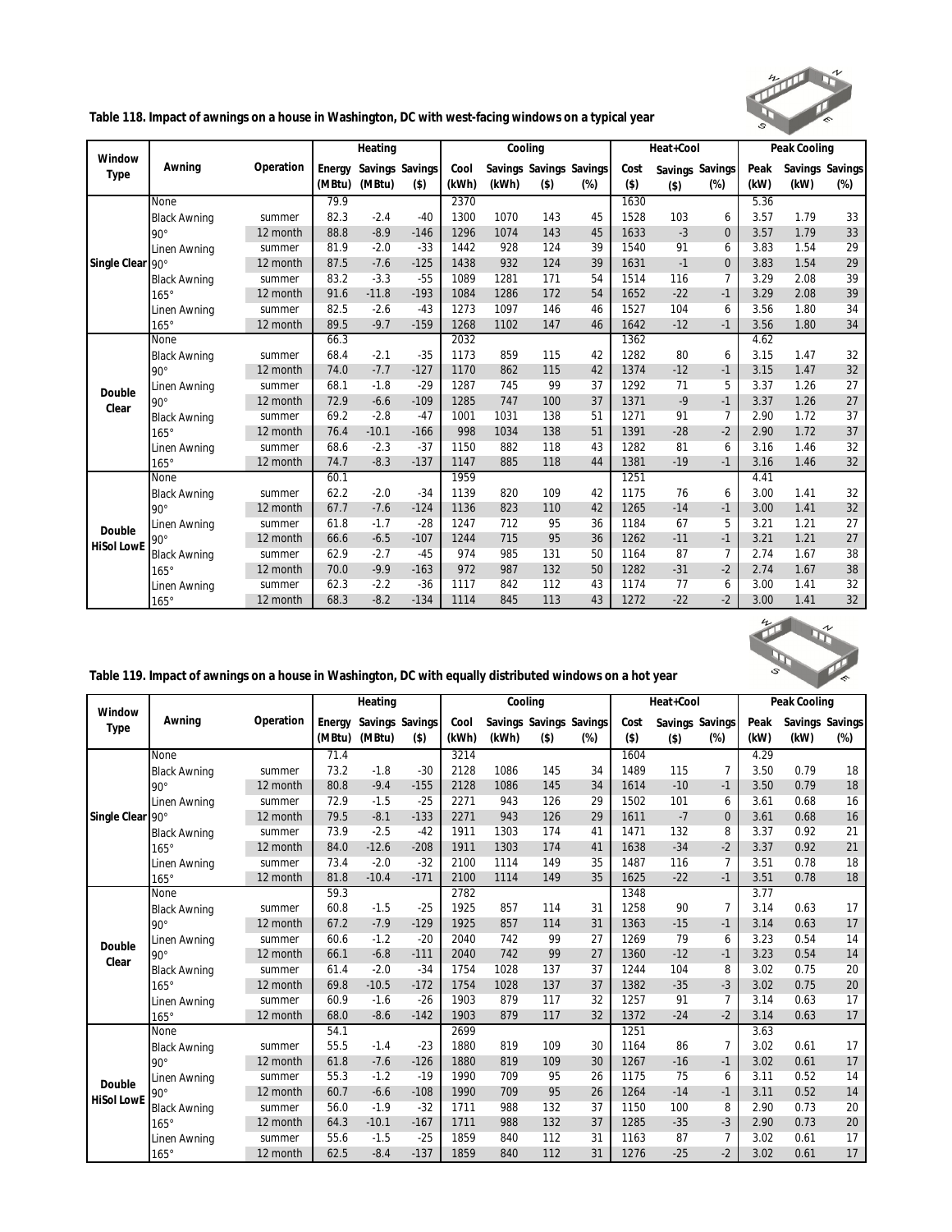

**Table 118. Impact of awnings on a house in Washington, DC with west-facing windows on a typical year**

| Window<br>Type    |                     |           |        | Heating |                 |       |       | Cooling |                         |         | Heat+Cool |                 |      | Peak Cooling |                 |
|-------------------|---------------------|-----------|--------|---------|-----------------|-------|-------|---------|-------------------------|---------|-----------|-----------------|------|--------------|-----------------|
|                   | Awning              | Operation | Energy |         | Savings Savings | Cool  |       |         | Savings Savings Savings | Cost    |           | Savings Savings | Peak |              | Savings Savings |
|                   |                     |           | (MBtu) | (MBtu)  | $($ \$)         | (kWh) | (kWh) | $($ \$) | $(\%)$                  | $($ \$) | $($ \$)   | $(\%)$          | (kW) | (kW)         | $(\%)$          |
|                   | None                |           | 79.9   |         |                 | 2370  |       |         |                         | 1630    |           |                 | 5.36 |              |                 |
|                   | <b>Black Awning</b> | summer    | 82.3   | $-2.4$  | $-40$           | 1300  | 1070  | 143     | 45                      | 1528    | 103       | 6               | 3.57 | 1.79         | 33              |
|                   | $90^\circ$          | 12 month  | 88.8   | $-8.9$  | $-146$          | 1296  | 1074  | 143     | 45                      | 1633    | $-3$      | $\overline{0}$  | 3.57 | 1.79         | 33              |
|                   | Linen Awning        | summer    | 81.9   | $-2.0$  | $-33$           | 1442  | 928   | 124     | 39                      | 1540    | 91        | 6               | 3.83 | 1.54         | 29              |
| Single Clear      | $90^\circ$          | 12 month  | 87.5   | $-7.6$  | $-125$          | 1438  | 932   | 124     | 39                      | 1631    | $-1$      | $\Omega$        | 3.83 | 1.54         | 29              |
|                   | <b>Black Awning</b> | summer    | 83.2   | $-3.3$  | $-55$           | 1089  | 1281  | 171     | 54                      | 1514    | 116       | 7               | 3.29 | 2.08         | 39              |
|                   | $165^\circ$         | 12 month  | 91.6   | $-11.8$ | $-193$          | 1084  | 1286  | 172     | 54                      | 1652    | $-22$     | $-1$            | 3.29 | 2.08         | 39              |
|                   | Linen Awning        | summer    | 82.5   | $-2.6$  | $-43$           | 1273  | 1097  | 146     | 46                      | 1527    | 104       | 6               | 3.56 | 1.80         | 34              |
|                   | $165^\circ$         | 12 month  | 89.5   | $-9.7$  | $-159$          | 1268  | 1102  | 147     | 46                      | 1642    | $-12$     | $-1$            | 3.56 | 1.80         | 34              |
|                   | None                |           | 66.3   |         |                 | 2032  |       |         |                         | 1362    |           |                 | 4.62 |              |                 |
|                   | <b>Black Awning</b> | summer    | 68.4   | $-2.1$  | $-35$           | 1173  | 859   | 115     | 42                      | 1282    | 80        | 6               | 3.15 | 1.47         | 32              |
|                   | $90^\circ$          | 12 month  | 74.0   | $-7.7$  | $-127$          | 1170  | 862   | 115     | 42                      | 1374    | $-12$     | $-1$            | 3.15 | 1.47         | 32              |
| Double            | Linen Awning        | summer    | 68.1   | $-1.8$  | $-29$           | 1287  | 745   | 99      | 37                      | 1292    | 71        | 5               | 3.37 | 1.26         | 27              |
| Clear             | $90^\circ$          | 12 month  | 72.9   | $-6.6$  | $-109$          | 1285  | 747   | 100     | 37                      | 1371    | $-9$      | $-1$            | 3.37 | 1.26         | 27              |
|                   | <b>Black Awning</b> | summer    | 69.2   | $-2.8$  | $-47$           | 1001  | 1031  | 138     | 51                      | 1271    | 91        | $\overline{7}$  | 2.90 | 1.72         | 37              |
|                   | $165^\circ$         | 12 month  | 76.4   | $-10.1$ | $-166$          | 998   | 1034  | 138     | 51                      | 1391    | $-28$     | $-2$            | 2.90 | 1.72         | 37              |
|                   | Linen Awning        | summer    | 68.6   | $-2.3$  | $-37$           | 1150  | 882   | 118     | 43                      | 1282    | 81        | 6               | 3.16 | 1.46         | 32              |
|                   | $165^\circ$         | 12 month  | 74.7   | $-8.3$  | $-137$          | 1147  | 885   | 118     | 44                      | 1381    | $-19$     | $-1$            | 3.16 | 1.46         | 32              |
|                   | None                |           | 60.1   |         |                 | 1959  |       |         |                         | 1251    |           |                 | 4.41 |              |                 |
|                   | <b>Black Awning</b> | summer    | 62.2   | $-2.0$  | $-34$           | 1139  | 820   | 109     | 42                      | 1175    | 76        | 6               | 3.00 | 1.41         | 32              |
|                   | $90^\circ$          | 12 month  | 67.7   | $-7.6$  | $-124$          | 1136  | 823   | 110     | 42                      | 1265    | $-14$     | $-1$            | 3.00 | 1.41         | 32              |
| Double            | Linen Awning        | summer    | 61.8   | $-1.7$  | $-28$           | 1247  | 712   | 95      | 36                      | 1184    | 67        | 5               | 3.21 | 1.21         | 27              |
| <b>HiSol LowE</b> | $90^{\circ}$        | 12 month  | 66.6   | $-6.5$  | $-107$          | 1244  | 715   | 95      | 36                      | 1262    | $-11$     | $-1$            | 3.21 | 1.21         | 27              |
|                   | <b>Black Awning</b> | summer    | 62.9   | $-2.7$  | $-45$           | 974   | 985   | 131     | 50                      | 1164    | 87        | $\overline{7}$  | 2.74 | 1.67         | 38              |
|                   | $165^\circ$         | 12 month  | 70.0   | $-9.9$  | $-163$          | 972   | 987   | 132     | 50                      | 1282    | $-31$     | $-2$            | 2.74 | 1.67         | 38              |
|                   | Linen Awning        | summer    | 62.3   | $-2.2$  | $-36$           | 1117  | 842   | 112     | 43                      | 1174    | 77        | 6               | 3.00 | 1.41         | 32              |
|                   | $165^\circ$         | 12 month  | 68.3   | $-8.2$  | $-134$          | 1114  | 845   | 113     | 43                      | 1272    | $-22$     | $-2$            | 3.00 | 1.41         | 32              |



| Table 119. Impact of awnings on a house in Washington, DC with equally distributed windows on a hot year |  |  |
|----------------------------------------------------------------------------------------------------------|--|--|
|                                                                                                          |  |  |

|                   |                     |           |        | Heating |                 |       |       | Cooling                 |        |         | Heat+Cool |                 |      | Peak Cooling |                 |
|-------------------|---------------------|-----------|--------|---------|-----------------|-------|-------|-------------------------|--------|---------|-----------|-----------------|------|--------------|-----------------|
| Window            | Awning              | Operation | Energy |         | Savings Savings | Cool  |       | Savings Savings Savings |        | Cost    |           | Savings Savings | Peak |              | Savings Savings |
| Type              |                     |           | (MBtu) | (MBtu)  | $($ \$)         | (kWh) | (kWh) | $($ \$)                 | $(\%)$ | $($ \$) | $($ \$)   | $(\%)$          | (kW) | (kW)         | $(\%)$          |
|                   | None                |           | 71.4   |         |                 | 3214  |       |                         |        | 1604    |           |                 | 4.29 |              |                 |
|                   | <b>Black Awning</b> | summer    | 73.2   | $-1.8$  | $-30$           | 2128  | 1086  | 145                     | 34     | 1489    | 115       | 7               | 3.50 | 0.79         | 18              |
|                   | $90^{\circ}$        | 12 month  | 80.8   | $-9.4$  | $-155$          | 2128  | 1086  | 145                     | 34     | 1614    | $-10$     | $-1$            | 3.50 | 0.79         | 18              |
|                   | Linen Awning        | summer    | 72.9   | $-1.5$  | $-25$           | 2271  | 943   | 126                     | 29     | 1502    | 101       | 6               | 3.61 | 0.68         | 16              |
| Single Clear 90°  |                     | 12 month  | 79.5   | $-8.1$  | $-133$          | 2271  | 943   | 126                     | 29     | 1611    | $-7$      | $\overline{0}$  | 3.61 | 0.68         | 16              |
|                   | <b>Black Awning</b> | summer    | 73.9   | $-2.5$  | $-42$           | 1911  | 1303  | 174                     | 41     | 1471    | 132       | 8               | 3.37 | 0.92         | 21              |
|                   | $165^\circ$         | 12 month  | 84.0   | $-12.6$ | $-208$          | 1911  | 1303  | 174                     | 41     | 1638    | $-34$     | $-2$            | 3.37 | 0.92         | 21              |
|                   | Linen Awning        | summer    | 73.4   | $-2.0$  | $-32$           | 2100  | 1114  | 149                     | 35     | 1487    | 116       | 7               | 3.51 | 0.78         | 18              |
|                   | $165^\circ$         | 12 month  | 81.8   | $-10.4$ | $-171$          | 2100  | 1114  | 149                     | 35     | 1625    | $-22$     | $-1$            | 3.51 | 0.78         | 18              |
|                   | None                |           | 59.3   |         |                 | 2782  |       |                         |        | 1348    |           |                 | 3.77 |              |                 |
|                   | <b>Black Awning</b> | summer    | 60.8   | $-1.5$  | $-25$           | 1925  | 857   | 114                     | 31     | 1258    | 90        | $\overline{7}$  | 3.14 | 0.63         | 17              |
|                   | $90^\circ$          | 12 month  | 67.2   | $-7.9$  | $-129$          | 1925  | 857   | 114                     | 31     | 1363    | $-15$     | $-1$            | 3.14 | 0.63         | 17              |
| Double            | Linen Awning        | summer    | 60.6   | $-1.2$  | $-20$           | 2040  | 742   | 99                      | 27     | 1269    | 79        | 6               | 3.23 | 0.54         | 14              |
| Clear             | $90^\circ$          | 12 month  | 66.1   | $-6.8$  | $-111$          | 2040  | 742   | 99                      | 27     | 1360    | $-12$     | $-1$            | 3.23 | 0.54         | 14              |
|                   | <b>Black Awning</b> | summer    | 61.4   | $-2.0$  | $-34$           | 1754  | 1028  | 137                     | 37     | 1244    | 104       | 8               | 3.02 | 0.75         | 20              |
|                   | $165^\circ$         | 12 month  | 69.8   | $-10.5$ | $-172$          | 1754  | 1028  | 137                     | 37     | 1382    | $-35$     | $-3$            | 3.02 | 0.75         | 20              |
|                   | Linen Awning        | summer    | 60.9   | $-1.6$  | $-26$           | 1903  | 879   | 117                     | 32     | 1257    | 91        | $\overline{7}$  | 3.14 | 0.63         | 17              |
|                   | $165^\circ$         | 12 month  | 68.0   | $-8.6$  | $-142$          | 1903  | 879   | 117                     | 32     | 1372    | $-24$     | $-2$            | 3.14 | 0.63         | 17              |
|                   | None                |           | 54.1   |         |                 | 2699  |       |                         |        | 1251    |           |                 | 3.63 |              |                 |
|                   | <b>Black Awning</b> | summer    | 55.5   | $-1.4$  | $-23$           | 1880  | 819   | 109                     | 30     | 1164    | 86        | 7               | 3.02 | 0.61         | 17              |
|                   | $90^\circ$          | 12 month  | 61.8   | $-7.6$  | $-126$          | 1880  | 819   | 109                     | 30     | 1267    | $-16$     | $-1$            | 3.02 | 0.61         | 17              |
| Double            | Linen Awning        | summer    | 55.3   | $-1.2$  | $-19$           | 1990  | 709   | 95                      | 26     | 1175    | 75        | 6               | 3.11 | 0.52         | 14              |
| <b>HiSol LowE</b> | $90^\circ$          | 12 month  | 60.7   | $-6.6$  | $-108$          | 1990  | 709   | 95                      | 26     | 1264    | $-14$     | $-1$            | 3.11 | 0.52         | 14              |
|                   | <b>Black Awning</b> | summer    | 56.0   | $-1.9$  | $-32$           | 1711  | 988   | 132                     | 37     | 1150    | 100       | 8               | 2.90 | 0.73         | 20              |
|                   | $165^\circ$         | 12 month  | 64.3   | $-10.1$ | $-167$          | 1711  | 988   | 132                     | 37     | 1285    | $-35$     | $-3$            | 2.90 | 0.73         | 20              |
|                   | Linen Awning        | summer    | 55.6   | $-1.5$  | $-25$           | 1859  | 840   | 112                     | 31     | 1163    | 87        | 7               | 3.02 | 0.61         | 17              |
|                   | $165^\circ$         | 12 month  | 62.5   | $-8.4$  | $-137$          | 1859  | 840   | 112                     | 31     | 1276    | $-25$     | $-2$            | 3.02 | 0.61         | 17              |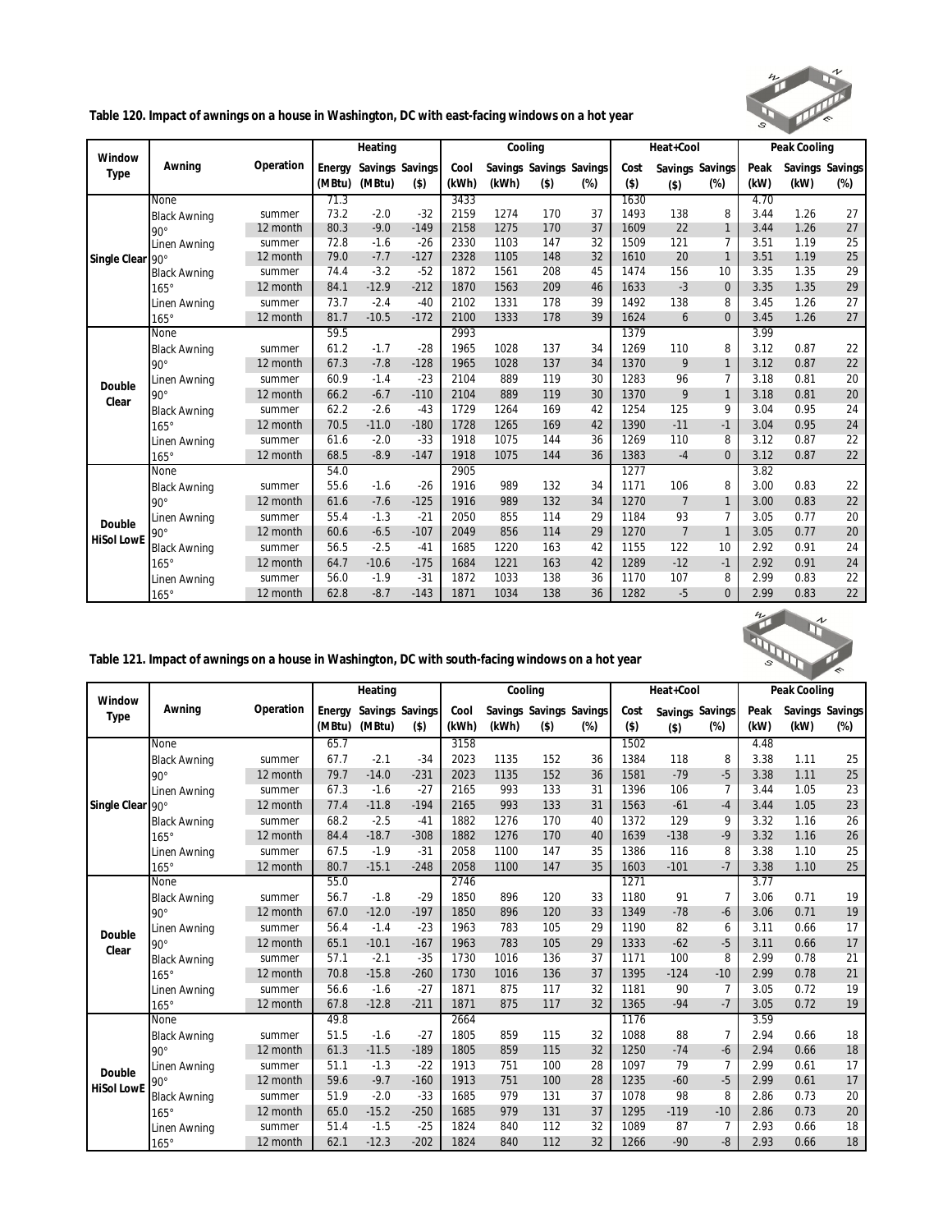

**Table 120. Impact of awnings on a house in Washington, DC with east-facing windows on a hot year**

| Window            |                     |           |        | Heating |                 |       | Cooling |         |                         |         | Heat+Cool      |                 |      | Peak Cooling |                 |
|-------------------|---------------------|-----------|--------|---------|-----------------|-------|---------|---------|-------------------------|---------|----------------|-----------------|------|--------------|-----------------|
| Type              | Awning              | Operation | Energy |         | Savings Savings | Cool  |         |         | Savings Savings Savings | Cost    |                | Savings Savings | Peak |              | Savings Savings |
|                   |                     |           | (MBtu) | (MBtu)  | $($ \$)         | (kWh) | (kWh)   | $($ \$) | (%)                     | $($ \$) | $($ \$)        | $(\%)$          | (kW) | (kW)         | $(\%)$          |
|                   | None                |           | 71.3   |         |                 | 3433  |         |         |                         | 1630    |                |                 | 4.70 |              |                 |
|                   | <b>Black Awning</b> | summer    | 73.2   | $-2.0$  | $-32$           | 2159  | 1274    | 170     | 37                      | 1493    | 138            | 8               | 3.44 | 1.26         | 27              |
|                   | $90^\circ$          | 12 month  | 80.3   | $-9.0$  | $-149$          | 2158  | 1275    | 170     | 37                      | 1609    | 22             | $\mathbf{1}$    | 3.44 | 1.26         | 27              |
|                   | Linen Awning        | summer    | 72.8   | $-1.6$  | $-26$           | 2330  | 1103    | 147     | 32                      | 1509    | 121            | $\overline{7}$  | 3.51 | 1.19         | 25              |
| Single Clear      | $90^\circ$          | 12 month  | 79.0   | $-7.7$  | $-127$          | 2328  | 1105    | 148     | 32                      | 1610    | 20             | $\mathbf{1}$    | 3.51 | 1.19         | 25              |
|                   | <b>Black Awning</b> | summer    | 74.4   | $-3.2$  | $-52$           | 1872  | 1561    | 208     | 45                      | 1474    | 156            | 10              | 3.35 | 1.35         | 29              |
|                   | $165^\circ$         | 12 month  | 84.1   | $-12.9$ | $-212$          | 1870  | 1563    | 209     | 46                      | 1633    | $-3$           | $\mathbf{0}$    | 3.35 | 1.35         | 29              |
|                   | Linen Awning        | summer    | 73.7   | $-2.4$  | $-40$           | 2102  | 1331    | 178     | 39                      | 1492    | 138            | 8               | 3.45 | 1.26         | 27              |
|                   | $165^\circ$         | 12 month  | 81.7   | $-10.5$ | $-172$          | 2100  | 1333    | 178     | 39                      | 1624    | 6              | $\Omega$        | 3.45 | 1.26         | 27              |
|                   | <b>None</b>         |           | 59.5   |         |                 | 2993  |         |         |                         | 1379    |                |                 | 3.99 |              |                 |
|                   | <b>Black Awning</b> | summer    | 61.2   | $-1.7$  | $-28$           | 1965  | 1028    | 137     | 34                      | 1269    | 110            | 8               | 3.12 | 0.87         | 22              |
|                   | $90^{\circ}$        | 12 month  | 67.3   | $-7.8$  | $-128$          | 1965  | 1028    | 137     | 34                      | 1370    | 9              | $\mathbf{1}$    | 3.12 | 0.87         | 22              |
| Double            | Linen Awning        | summer    | 60.9   | $-1.4$  | $-23$           | 2104  | 889     | 119     | 30                      | 1283    | 96             | 7               | 3.18 | 0.81         | 20              |
| Clear             | $90^{\circ}$        | 12 month  | 66.2   | $-6.7$  | $-110$          | 2104  | 889     | 119     | 30                      | 1370    | 9              | $\mathbf{1}$    | 3.18 | 0.81         | 20              |
|                   | <b>Black Awning</b> | summer    | 62.2   | $-2.6$  | $-43$           | 1729  | 1264    | 169     | 42                      | 1254    | 125            | 9               | 3.04 | 0.95         | 24              |
|                   | $165^\circ$         | 12 month  | 70.5   | $-11.0$ | $-180$          | 1728  | 1265    | 169     | 42                      | 1390    | $-11$          | $-1$            | 3.04 | 0.95         | 24              |
|                   | Linen Awning        | summer    | 61.6   | $-2.0$  | $-33$           | 1918  | 1075    | 144     | 36                      | 1269    | 110            | 8               | 3.12 | 0.87         | 22              |
|                   | $165^\circ$         | 12 month  | 68.5   | $-8.9$  | $-147$          | 1918  | 1075    | 144     | 36                      | 1383    | $-4$           | $\Omega$        | 3.12 | 0.87         | 22              |
|                   | <b>None</b>         |           | 54.0   |         |                 | 2905  |         |         |                         | 1277    |                |                 | 3.82 |              |                 |
|                   | <b>Black Awning</b> | summer    | 55.6   | $-1.6$  | $-26$           | 1916  | 989     | 132     | 34                      | 1171    | 106            | 8               | 3.00 | 0.83         | 22              |
|                   | $90^\circ$          | 12 month  | 61.6   | $-7.6$  | $-125$          | 1916  | 989     | 132     | 34                      | 1270    | $\overline{7}$ | $\mathbf{1}$    | 3.00 | 0.83         | 22              |
| Double            | Linen Awning        | summer    | 55.4   | $-1.3$  | $-21$           | 2050  | 855     | 114     | 29                      | 1184    | 93             | $\overline{7}$  | 3.05 | 0.77         | 20              |
|                   | $90^{\circ}$        | 12 month  | 60.6   | $-6.5$  | $-107$          | 2049  | 856     | 114     | 29                      | 1270    | $\overline{7}$ | $\mathbf{1}$    | 3.05 | 0.77         | 20              |
| <b>HiSol LowE</b> | <b>Black Awning</b> | summer    | 56.5   | $-2.5$  | $-41$           | 1685  | 1220    | 163     | 42                      | 1155    | 122            | 10              | 2.92 | 0.91         | 24              |
|                   | $165^\circ$         | 12 month  | 64.7   | $-10.6$ | $-175$          | 1684  | 1221    | 163     | 42                      | 1289    | $-12$          | $-1$            | 2.92 | 0.91         | 24              |
|                   | Linen Awning        | summer    | 56.0   | $-1.9$  | $-31$           | 1872  | 1033    | 138     | 36                      | 1170    | 107            | 8               | 2.99 | 0.83         | 22              |
|                   | $165^\circ$         | 12 month  | 62.8   | $-8.7$  | $-143$          | 1871  | 1034    | 138     | 36                      | 1282    | $-5$           | $\Omega$        | 2.99 | 0.83         | 22              |



| Window<br>Type    |                     |           |        | Heating |                 |       |       | Cooling |                         |         | Heat+Cool |                 |      | Peak Cooling |                 |
|-------------------|---------------------|-----------|--------|---------|-----------------|-------|-------|---------|-------------------------|---------|-----------|-----------------|------|--------------|-----------------|
|                   | Awning              | Operation | Energy |         | Savings Savings | Cool  |       |         | Savings Savings Savings | Cost    |           | Savings Savings | Peak |              | Savings Savings |
|                   |                     |           | (MBtu) | (MBtu)  | $($ \$)         | (kWh) | (kWh) | $($ \$) | $(\%)$                  | $($ \$) | $($ \$)   | $(\%)$          | (kW) | (kW)         | $(\%)$          |
|                   | <b>None</b>         |           | 65.7   |         |                 | 3158  |       |         |                         | 1502    |           |                 | 4.48 |              |                 |
|                   | <b>Black Awning</b> | summer    | 67.7   | $-2.1$  | $-34$           | 2023  | 1135  | 152     | 36                      | 1384    | 118       | 8               | 3.38 | 1.11         | 25              |
|                   | $90^\circ$          | 12 month  | 79.7   | $-14.0$ | $-231$          | 2023  | 1135  | 152     | 36                      | 1581    | $-79$     | $-5$            | 3.38 | 1.11         | 25              |
|                   | Linen Awning        | summer    | 67.3   | $-1.6$  | $-27$           | 2165  | 993   | 133     | 31                      | 1396    | 106       | $\overline{7}$  | 3.44 | 1.05         | 23              |
| Single Clear 90°  |                     | 12 month  | 77.4   | $-11.8$ | $-194$          | 2165  | 993   | 133     | 31                      | 1563    | $-61$     | $-4$            | 3.44 | 1.05         | 23              |
|                   | <b>Black Awning</b> | summer    | 68.2   | $-2.5$  | $-41$           | 1882  | 1276  | 170     | 40                      | 1372    | 129       | 9               | 3.32 | 1.16         | 26              |
|                   | $165^\circ$         | 12 month  | 84.4   | $-18.7$ | $-308$          | 1882  | 1276  | 170     | 40                      | 1639    | $-138$    | $-9$            | 3.32 | 1.16         | 26              |
|                   | Linen Awning        | summer    | 67.5   | $-1.9$  | $-31$           | 2058  | 1100  | 147     | 35                      | 1386    | 116       | 8               | 3.38 | 1.10         | 25              |
|                   | $165^\circ$         | 12 month  | 80.7   | $-15.1$ | $-248$          | 2058  | 1100  | 147     | 35                      | 1603    | $-101$    | $-7$            | 3.38 | 1.10         | 25              |
|                   | None                |           | 55.0   |         |                 | 2746  |       |         |                         | 1271    |           |                 | 3.77 |              |                 |
| Double            | <b>Black Awning</b> | summer    | 56.7   | $-1.8$  | $-29$           | 1850  | 896   | 120     | 33                      | 1180    | 91        | 7               | 3.06 | 0.71         | 19              |
|                   | $90^\circ$          | 12 month  | 67.0   | $-12.0$ | $-197$          | 1850  | 896   | 120     | 33                      | 1349    | $-78$     | $-6$            | 3.06 | 0.71         | 19              |
|                   | Linen Awning        | summer    | 56.4   | $-1.4$  | $-23$           | 1963  | 783   | 105     | 29                      | 1190    | 82        | 6               | 3.11 | 0.66         | 17              |
| Clear             | $90^{\circ}$        | 12 month  | 65.1   | $-10.1$ | $-167$          | 1963  | 783   | 105     | 29                      | 1333    | $-62$     | $-5$            | 3.11 | 0.66         | 17              |
|                   | <b>Black Awning</b> | summer    | 57.1   | $-2.1$  | $-35$           | 1730  | 1016  | 136     | 37                      | 1171    | 100       | 8               | 2.99 | 0.78         | 21              |
|                   | $165^\circ$         | 12 month  | 70.8   | $-15.8$ | $-260$          | 1730  | 1016  | 136     | 37                      | 1395    | $-124$    | $-10$           | 2.99 | 0.78         | 21              |
|                   | Linen Awning        | summer    | 56.6   | $-1.6$  | $-27$           | 1871  | 875   | 117     | 32                      | 1181    | 90        | 7               | 3.05 | 0.72         | 19              |
|                   | $165^\circ$         | 12 month  | 67.8   | $-12.8$ | $-211$          | 1871  | 875   | 117     | 32                      | 1365    | $-94$     | $-7$            | 3.05 | 0.72         | 19              |
|                   | None                |           | 49.8   |         |                 | 2664  |       |         |                         | 1176    |           |                 | 3.59 |              |                 |
|                   | <b>Black Awning</b> | summer    | 51.5   | $-1.6$  | $-27$           | 1805  | 859   | 115     | 32                      | 1088    | 88        | 7               | 2.94 | 0.66         | 18              |
|                   | $90^\circ$          | 12 month  | 61.3   | $-11.5$ | $-189$          | 1805  | 859   | 115     | 32                      | 1250    | $-74$     | $-6$            | 2.94 | 0.66         | 18              |
| Double            | Linen Awning        | summer    | 51.1   | $-1.3$  | $-22$           | 1913  | 751   | 100     | 28                      | 1097    | 79        | 7               | 2.99 | 0.61         | 17              |
| <b>HiSol LowE</b> | $90^\circ$          | 12 month  | 59.6   | $-9.7$  | $-160$          | 1913  | 751   | 100     | 28                      | 1235    | $-60$     | $-5$            | 2.99 | 0.61         | 17              |
|                   | <b>Black Awning</b> | summer    | 51.9   | $-2.0$  | $-33$           | 1685  | 979   | 131     | 37                      | 1078    | 98        | 8               | 2.86 | 0.73         | 20              |
|                   | $165^\circ$         | 12 month  | 65.0   | $-15.2$ | $-250$          | 1685  | 979   | 131     | 37                      | 1295    | $-119$    | $-10$           | 2.86 | 0.73         | 20              |
|                   | Linen Awning        | summer    | 51.4   | $-1.5$  | $-25$           | 1824  | 840   | 112     | 32                      | 1089    | 87        | 7               | 2.93 | 0.66         | 18              |
|                   | $165^\circ$         | 12 month  | 62.1   | $-12.3$ | $-202$          | 1824  | 840   | 112     | 32                      | 1266    | $-90$     | $-8$            | 2.93 | 0.66         | 18              |